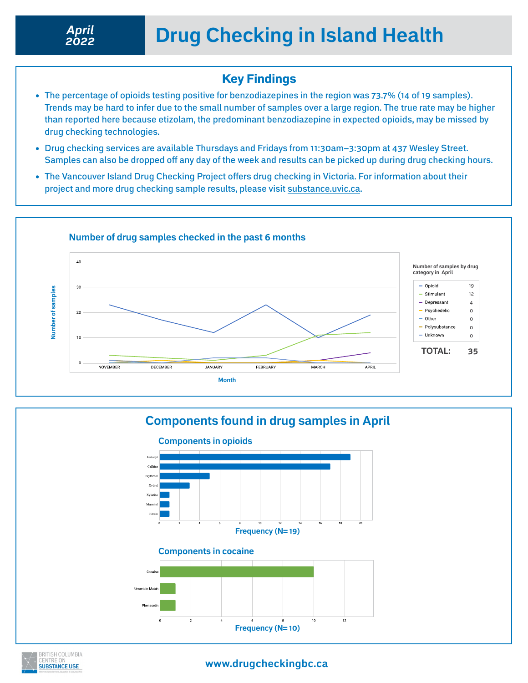## Key Findings

- The percentage of opioids testing positive for benzodiazepines in the region was 73.7% (14 of 19 samples). Trends may be hard to infer due to the small number of samples over a large region. The true rate may be higher than reported here because etizolam, the predominant benzodiazepine in expected opioids, may be missed by drug checking technologies.
- Drug checking services are available Thursdays and Fridays from 11:30am–3:30pm at 437 Wesley Street. Samples can also be dropped off any day of the week and results can be picked up during drug checking hours.
- The Vancouver Island Drug Checking Project offers drug checking in Victoria. For information about their project and more drug checking sample results, please visit [substance.uvic.ca.](https://substance.uvic.ca)





**BRITISH COLUMBIA SUBSTANCE USE** 

**www.drugcheckingbc.ca**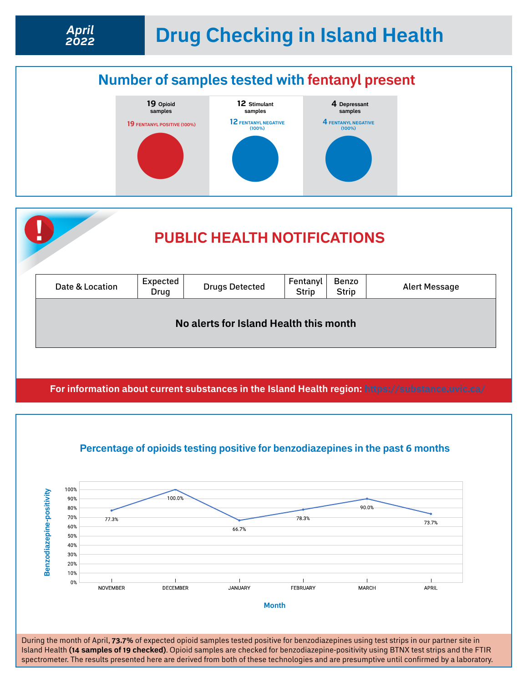

**For information about current substances in the Island Health region: <https://substance.uvic.ca/>**



**Percentage of opioids testing positive for benzodiazepines in the past 6 months**

During the month of April, **73.7%** of expected opioid samples tested positive for benzodiazepines using test strips in our partner site in Island Health **(14 samples of 19 checked)**. Opioid samples are checked for benzodiazepine-positivity using BTNX test strips and the FTIR spectrometer. The results presented here are derived from both of these technologies and are presumptive until confirmed by a laboratory.